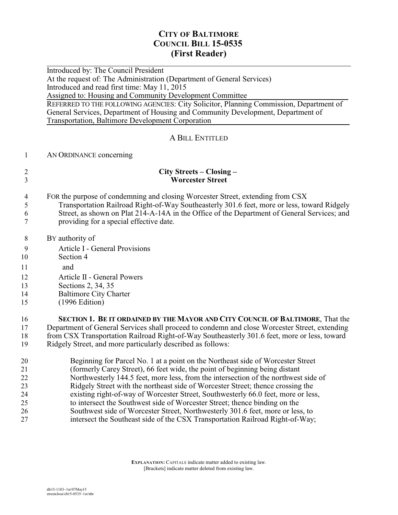# **CITY OF BALTIMORE COUNCIL BILL 15-0535 (First Reader)**

 $\overline{a}$ Introduced by: The Council President

At the request of: The Administration (Department of General Services)

Introduced and read first time: May 11, 2015

Assigned to: Housing and Community Development Committee

REFERRED TO THE FOLLOWING AGENCIES: City Solicitor, Planning Commission, Department of General Services, Department of Housing and Community Development, Department of Transportation, Baltimore Development Corporation

## A BILL ENTITLED

### 1 AN ORDINANCE concerning

#### 2 **City Streets – Closing –**  3 **Worcester Street**

- 4 FOR the purpose of condemning and closing Worcester Street, extending from CSX 5 Transportation Railroad Right-of-Way Southeasterly 301.6 feet, more or less, toward Ridgely 6 Street, as shown on Plat 214-A-14A in the Office of the Department of General Services; and 7 providing for a special effective date.
- 8 BY authority of
- 9 Article I General Provisions
- 10 Section 4
- 11 and
- 12 Article II General Powers
- 13 Sections 2, 34, 35
- 14 Baltimore City Charter
- 15 (1996 Edition)

 **SECTION 1. BE IT ORDAINED BY THE MAYOR AND CITY COUNCIL OF BALTIMORE**, That the Department of General Services shall proceed to condemn and close Worcester Street, extending from CSX Transportation Railroad Right-of-Way Southeasterly 301.6 feet, more or less, toward Ridgely Street, and more particularly described as follows:

 Beginning for Parcel No. 1 at a point on the Northeast side of Worcester Street (formerly Carey Street), 66 feet wide, the point of beginning being distant 22 Northwesterly 144.5 feet, more less, from the intersection of the northwest side of<br>23 Ridgely Street with the northeast side of Worcester Street: thence crossing the Ridgely Street with the northeast side of Worcester Street; thence crossing the existing right-of-way of Worcester Street, Southwesterly 66.0 feet, more or less, to intersect the Southwest side of Worcester Street; thence binding on the Southwest side of Worcester Street, Northwesterly 301.6 feet, more or less, to intersect the Southeast side of the CSX Transportation Railroad Right-of-Way;

> **EXPLANATION:** CAPITALS indicate matter added to existing law. [Brackets] indicate matter deleted from existing law.